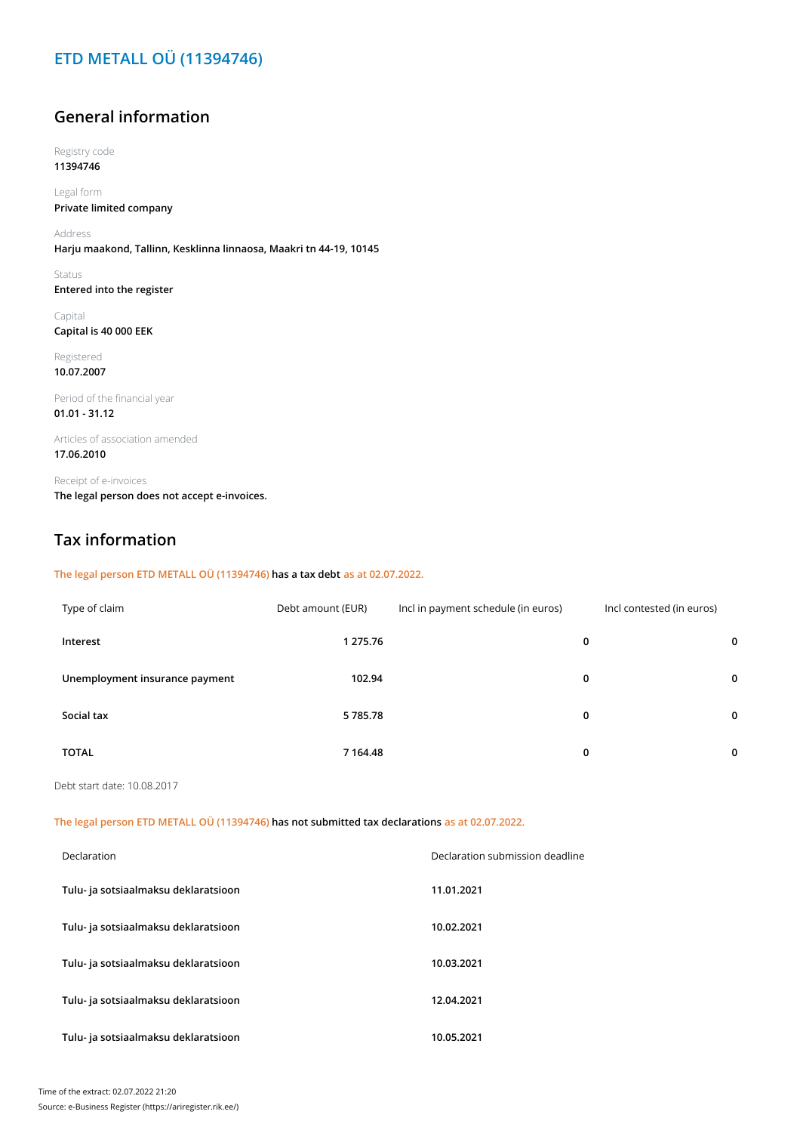### **ETD METALL OÜ (11394746)**

### **General information**

Registry code **11394746**

Legal form **Private limited company**

Address **Harju maakond, Tallinn, Kesklinna linnaosa, Maakri tn 44-19, 10145**

Status **Entered into the register**

Capital **Capital is 40 000 EEK**

Registered **10.07.2007**

Period of the financial year **01.01 - 31.12**

Articles of association amended **17.06.2010**

Receipt of e-invoices **The legal person does not accept e-invoices.**

### **Tax information**

#### **The legal person ETD METALL OÜ (11394746) has a tax debt as at 02.07.2022.**

| Type of claim                  | Debt amount (EUR) | Incl in payment schedule (in euros) |   | Incl contested (in euros) |             |
|--------------------------------|-------------------|-------------------------------------|---|---------------------------|-------------|
| Interest                       | 1 275.76          |                                     | 0 |                           | 0           |
| Unemployment insurance payment | 102.94            |                                     | 0 |                           | $\mathbf 0$ |
| Social tax                     | 5 785.78          |                                     | 0 |                           | 0           |
| <b>TOTAL</b>                   | 7 1 64.48         |                                     | 0 |                           | 0           |

Debt start date: 10.08.2017

**The legal person ETD METALL OÜ (11394746) has not submitted tax declarations as at 02.07.2022.**

| Declaration                          | Declaration submission deadline |
|--------------------------------------|---------------------------------|
| Tulu- ja sotsiaalmaksu deklaratsioon | 11.01.2021                      |
| Tulu- ja sotsiaalmaksu deklaratsioon | 10.02.2021                      |
| Tulu- ja sotsiaalmaksu deklaratsioon | 10.03.2021                      |
| Tulu- ja sotsiaalmaksu deklaratsioon | 12.04.2021                      |
| Tulu- ja sotsiaalmaksu deklaratsioon | 10.05.2021                      |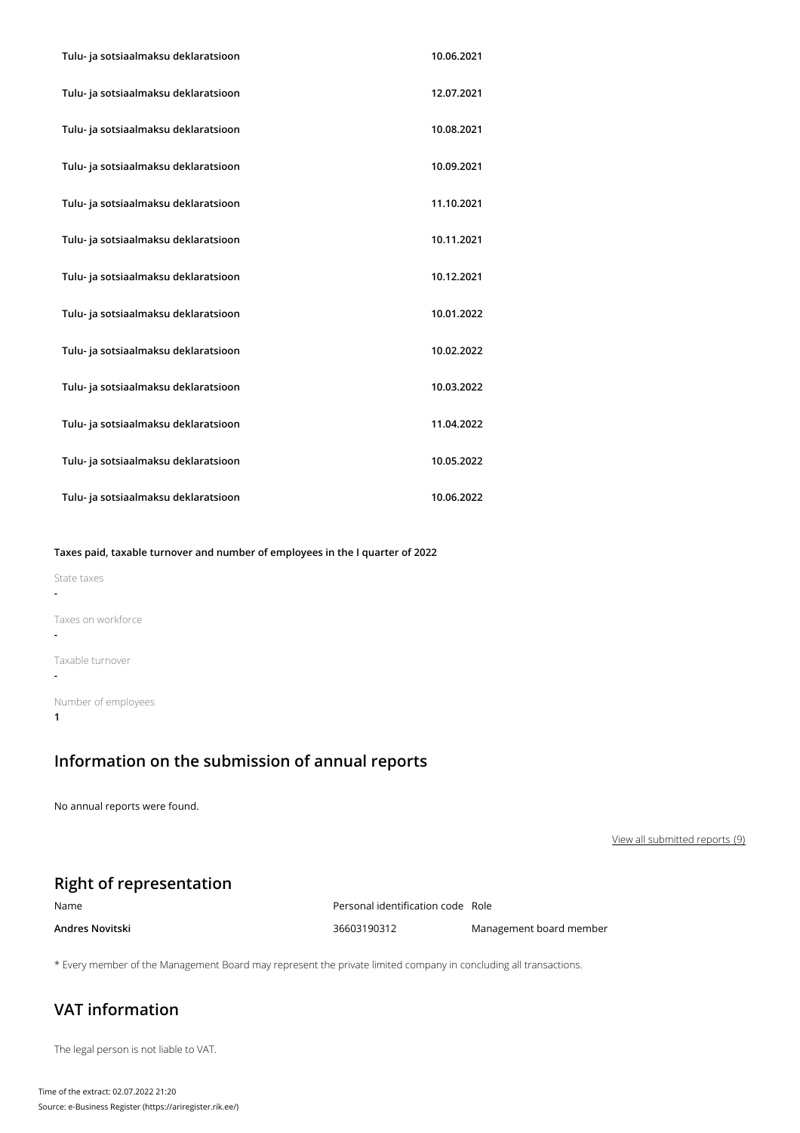| Tulu- ja sotsiaalmaksu deklaratsioon | 10.06.2021 |
|--------------------------------------|------------|
| Tulu- ja sotsiaalmaksu deklaratsioon | 12.07.2021 |
| Tulu- ja sotsiaalmaksu deklaratsioon | 10.08.2021 |
| Tulu- ja sotsiaalmaksu deklaratsioon | 10.09.2021 |
| Tulu- ja sotsiaalmaksu deklaratsioon | 11.10.2021 |
| Tulu- ja sotsiaalmaksu deklaratsioon | 10.11.2021 |
| Tulu- ja sotsiaalmaksu deklaratsioon | 10.12.2021 |
| Tulu- ja sotsiaalmaksu deklaratsioon | 10.01.2022 |
| Tulu- ja sotsiaalmaksu deklaratsioon | 10.02.2022 |
| Tulu- ja sotsiaalmaksu deklaratsioon | 10.03.2022 |
| Tulu- ja sotsiaalmaksu deklaratsioon | 11.04.2022 |
| Tulu- ja sotsiaalmaksu deklaratsioon | 10.05.2022 |
| Tulu- ja sotsiaalmaksu deklaratsioon | 10.06.2022 |

#### **Taxes paid, taxable turnover and number of employees in the I quarter of 2022**

| State taxes         |
|---------------------|
|                     |
| Taxes on workforce  |
| Taxable turnover    |
| Number of employees |

# **Information on the submission of annual reports**

No annual reports were found.

View all submitted reports (9)

## **Right of representation**

| Name            | Personal identification code Role |                         |
|-----------------|-----------------------------------|-------------------------|
| Andres Novitski | 36603190312                       | Management board member |

\* Every member of the Management Board may represent the private limited company in concluding all transactions.

### **VAT information**

The legal person is not liable to VAT.